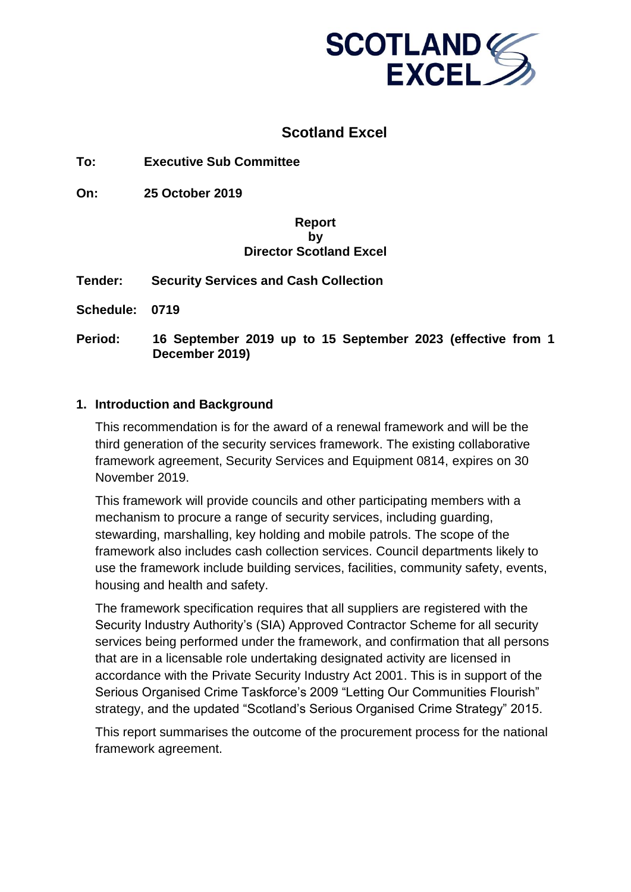

## **Scotland Excel**

**To: Executive Sub Committee**

**On: 25 October 2019**

#### **Report by Director Scotland Excel**

**Tender: Security Services and Cash Collection**

**Schedule: 0719**

**Period: 16 September 2019 up to 15 September 2023 (effective from 1 December 2019)**

#### **1. Introduction and Background**

This recommendation is for the award of a renewal framework and will be the third generation of the security services framework. The existing collaborative framework agreement, Security Services and Equipment 0814, expires on 30 November 2019.

This framework will provide councils and other participating members with a mechanism to procure a range of security services, including quarding, stewarding, marshalling, key holding and mobile patrols. The scope of the framework also includes cash collection services. Council departments likely to use the framework include building services, facilities, community safety, events, housing and health and safety.

The framework specification requires that all suppliers are registered with the Security Industry Authority's (SIA) Approved Contractor Scheme for all security services being performed under the framework, and confirmation that all persons that are in a licensable role undertaking designated activity are licensed in accordance with the Private Security Industry Act 2001. This is in support of the Serious Organised Crime Taskforce's 2009 "Letting Our Communities Flourish" strategy, and the updated "Scotland's Serious Organised Crime Strategy" 2015.

This report summarises the outcome of the procurement process for the national framework agreement.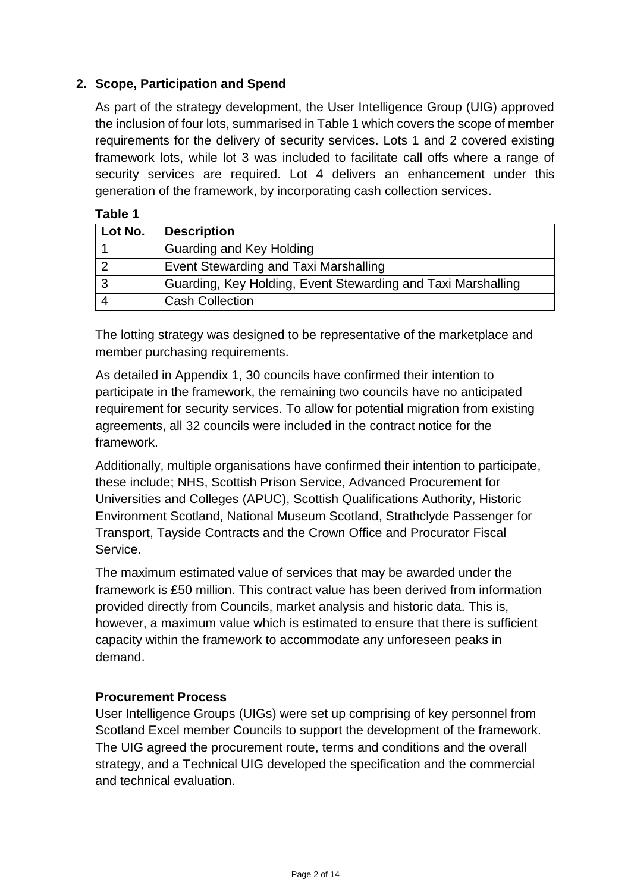## **2. Scope, Participation and Spend**

As part of the strategy development, the User Intelligence Group (UIG) approved the inclusion of four lots, summarised in Table 1 which covers the scope of member requirements for the delivery of security services. Lots 1 and 2 covered existing framework lots, while lot 3 was included to facilitate call offs where a range of security services are required. Lot 4 delivers an enhancement under this generation of the framework, by incorporating cash collection services.

#### **Table 1**

| Lot No. | <b>Description</b>                                           |
|---------|--------------------------------------------------------------|
|         | Guarding and Key Holding                                     |
|         | Event Stewarding and Taxi Marshalling                        |
|         | Guarding, Key Holding, Event Stewarding and Taxi Marshalling |
|         | <b>Cash Collection</b>                                       |

The lotting strategy was designed to be representative of the marketplace and member purchasing requirements.

As detailed in Appendix 1, 30 councils have confirmed their intention to participate in the framework, the remaining two councils have no anticipated requirement for security services. To allow for potential migration from existing agreements, all 32 councils were included in the contract notice for the framework.

Additionally, multiple organisations have confirmed their intention to participate, these include; NHS, Scottish Prison Service, Advanced Procurement for Universities and Colleges (APUC), Scottish Qualifications Authority, Historic Environment Scotland, National Museum Scotland, Strathclyde Passenger for Transport, Tayside Contracts and the Crown Office and Procurator Fiscal Service.

The maximum estimated value of services that may be awarded under the framework is £50 million. This contract value has been derived from information provided directly from Councils, market analysis and historic data. This is, however, a maximum value which is estimated to ensure that there is sufficient capacity within the framework to accommodate any unforeseen peaks in demand.

## **Procurement Process**

User Intelligence Groups (UIGs) were set up comprising of key personnel from Scotland Excel member Councils to support the development of the framework. The UIG agreed the procurement route, terms and conditions and the overall strategy, and a Technical UIG developed the specification and the commercial and technical evaluation.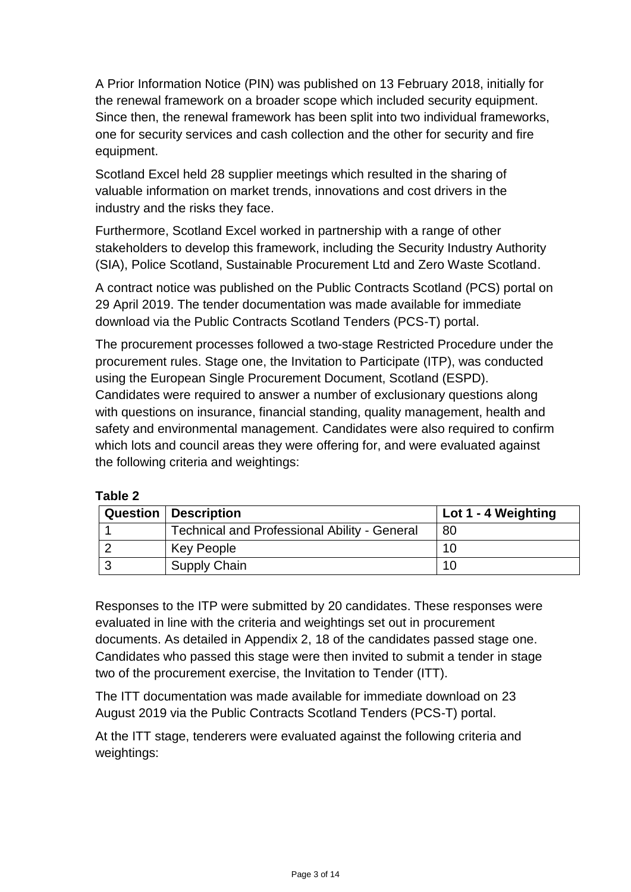A Prior Information Notice (PIN) was published on 13 February 2018, initially for the renewal framework on a broader scope which included security equipment. Since then, the renewal framework has been split into two individual frameworks, one for security services and cash collection and the other for security and fire equipment.

Scotland Excel held 28 supplier meetings which resulted in the sharing of valuable information on market trends, innovations and cost drivers in the industry and the risks they face.

Furthermore, Scotland Excel worked in partnership with a range of other stakeholders to develop this framework, including the Security Industry Authority (SIA), Police Scotland, Sustainable Procurement Ltd and Zero Waste Scotland.

A contract notice was published on the Public Contracts Scotland (PCS) portal on 29 April 2019. The tender documentation was made available for immediate download via the Public Contracts Scotland Tenders (PCS-T) portal.

The procurement processes followed a two-stage Restricted Procedure under the procurement rules. Stage one, the Invitation to Participate (ITP), was conducted using the European Single Procurement Document, Scotland (ESPD). Candidates were required to answer a number of exclusionary questions along with questions on insurance, financial standing, quality management, health and safety and environmental management. Candidates were also required to confirm which lots and council areas they were offering for, and were evaluated against the following criteria and weightings:

| <b>Question   Description</b>                       | Lot 1 - 4 Weighting |
|-----------------------------------------------------|---------------------|
| <b>Technical and Professional Ability - General</b> | 80                  |
| <b>Key People</b>                                   | 10                  |
| <b>Supply Chain</b>                                 | 10                  |

Responses to the ITP were submitted by 20 candidates. These responses were evaluated in line with the criteria and weightings set out in procurement documents. As detailed in Appendix 2, 18 of the candidates passed stage one. Candidates who passed this stage were then invited to submit a tender in stage two of the procurement exercise, the Invitation to Tender (ITT).

The ITT documentation was made available for immediate download on 23 August 2019 via the Public Contracts Scotland Tenders (PCS-T) portal.

At the ITT stage, tenderers were evaluated against the following criteria and weightings: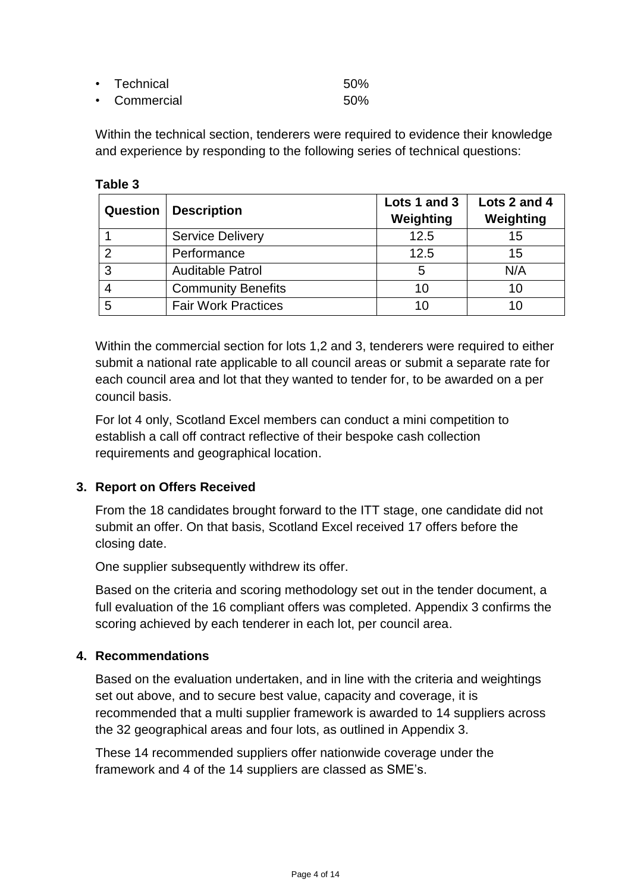| • Technical  | 50% |
|--------------|-----|
| • Commercial | 50% |

Within the technical section, tenderers were required to evidence their knowledge and experience by responding to the following series of technical questions:

| <b>Question</b> | Description                | Lots 1 and 3<br>Weighting | Lots 2 and 4<br>Weighting |
|-----------------|----------------------------|---------------------------|---------------------------|
|                 | <b>Service Delivery</b>    | 12.5                      | 15                        |
| ົາ              | Performance                | 12.5                      | 15                        |
| 3               | <b>Auditable Patrol</b>    | 5                         | N/A                       |
|                 | <b>Community Benefits</b>  | 10                        | 10                        |
| 5               | <b>Fair Work Practices</b> | 10                        |                           |

Within the commercial section for lots 1,2 and 3, tenderers were required to either submit a national rate applicable to all council areas or submit a separate rate for each council area and lot that they wanted to tender for, to be awarded on a per council basis.

For lot 4 only, Scotland Excel members can conduct a mini competition to establish a call off contract reflective of their bespoke cash collection requirements and geographical location.

## **3. Report on Offers Received**

**Table 3**

From the 18 candidates brought forward to the ITT stage, one candidate did not submit an offer. On that basis, Scotland Excel received 17 offers before the closing date.

One supplier subsequently withdrew its offer.

Based on the criteria and scoring methodology set out in the tender document, a full evaluation of the 16 compliant offers was completed. Appendix 3 confirms the scoring achieved by each tenderer in each lot, per council area.

## **4. Recommendations**

Based on the evaluation undertaken, and in line with the criteria and weightings set out above, and to secure best value, capacity and coverage, it is recommended that a multi supplier framework is awarded to 14 suppliers across the 32 geographical areas and four lots, as outlined in Appendix 3.

These 14 recommended suppliers offer nationwide coverage under the framework and 4 of the 14 suppliers are classed as SME's.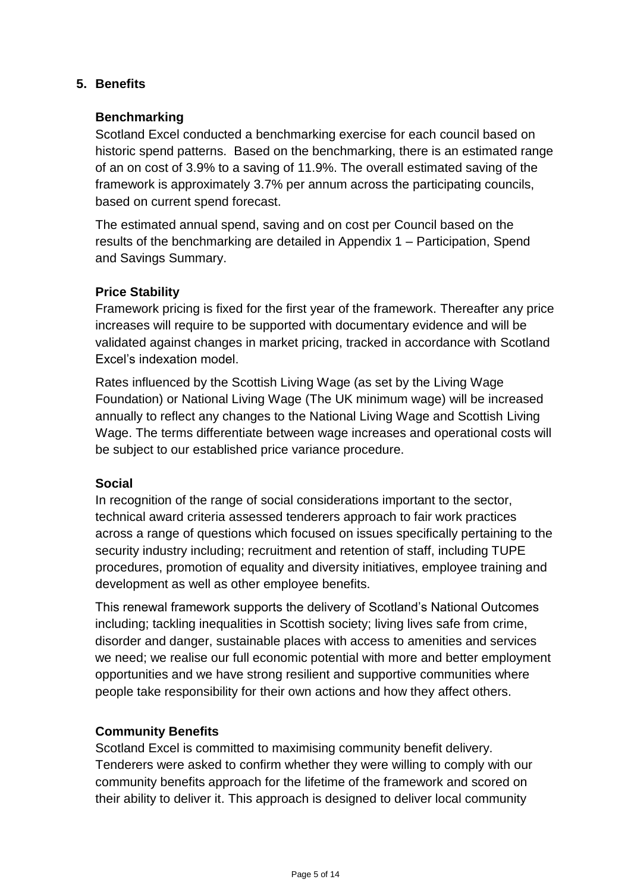## **5. Benefits**

#### **Benchmarking**

Scotland Excel conducted a benchmarking exercise for each council based on historic spend patterns. Based on the benchmarking, there is an estimated range of an on cost of 3.9% to a saving of 11.9%. The overall estimated saving of the framework is approximately 3.7% per annum across the participating councils, based on current spend forecast.

The estimated annual spend, saving and on cost per Council based on the results of the benchmarking are detailed in Appendix 1 – Participation, Spend and Savings Summary.

#### **Price Stability**

Framework pricing is fixed for the first year of the framework. Thereafter any price increases will require to be supported with documentary evidence and will be validated against changes in market pricing, tracked in accordance with Scotland Excel's indexation model.

Rates influenced by the Scottish Living Wage (as set by the Living Wage Foundation) or National Living Wage (The UK minimum wage) will be increased annually to reflect any changes to the National Living Wage and Scottish Living Wage. The terms differentiate between wage increases and operational costs will be subject to our established price variance procedure.

#### **Social**

In recognition of the range of social considerations important to the sector, technical award criteria assessed tenderers approach to fair work practices across a range of questions which focused on issues specifically pertaining to the security industry including; recruitment and retention of staff, including TUPE procedures, promotion of equality and diversity initiatives, employee training and development as well as other employee benefits.

This renewal framework supports the delivery of Scotland's National Outcomes including; tackling inequalities in Scottish society; living lives safe from crime, disorder and danger, sustainable places with access to amenities and services we need; we realise our full economic potential with more and better employment opportunities and we have strong resilient and supportive communities where people take responsibility for their own actions and how they affect others.

#### **Community Benefits**

Scotland Excel is committed to maximising community benefit delivery. Tenderers were asked to confirm whether they were willing to comply with our community benefits approach for the lifetime of the framework and scored on their ability to deliver it. This approach is designed to deliver local community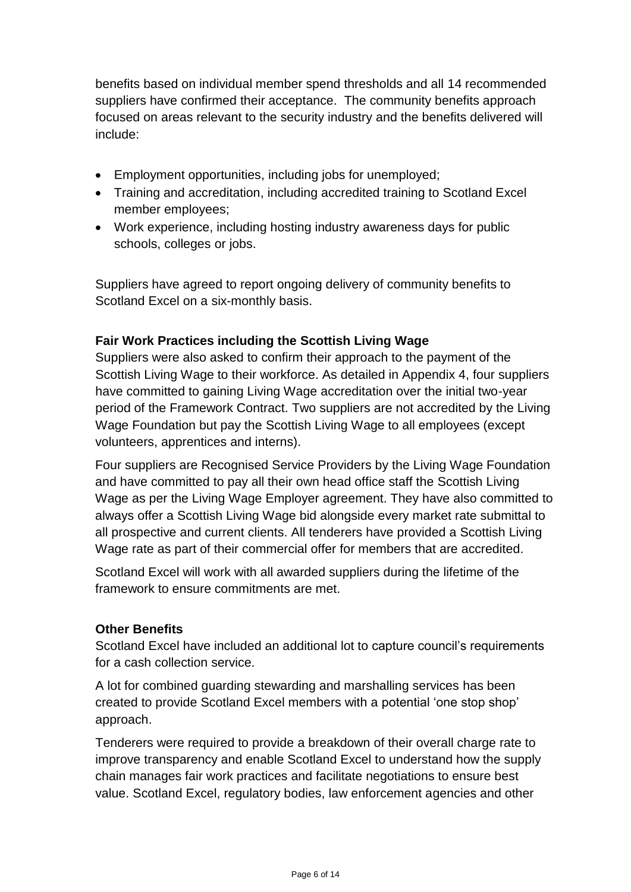benefits based on individual member spend thresholds and all 14 recommended suppliers have confirmed their acceptance. The community benefits approach focused on areas relevant to the security industry and the benefits delivered will include:

- Employment opportunities, including jobs for unemployed;
- Training and accreditation, including accredited training to Scotland Excel member employees;
- Work experience, including hosting industry awareness days for public schools, colleges or jobs.

Suppliers have agreed to report ongoing delivery of community benefits to Scotland Excel on a six-monthly basis.

## **Fair Work Practices including the Scottish Living Wage**

Suppliers were also asked to confirm their approach to the payment of the Scottish Living Wage to their workforce. As detailed in Appendix 4, four suppliers have committed to gaining Living Wage accreditation over the initial two-year period of the Framework Contract. Two suppliers are not accredited by the Living Wage Foundation but pay the Scottish Living Wage to all employees (except volunteers, apprentices and interns).

Four suppliers are Recognised Service Providers by the Living Wage Foundation and have committed to pay all their own head office staff the Scottish Living Wage as per the Living Wage Employer agreement. They have also committed to always offer a Scottish Living Wage bid alongside every market rate submittal to all prospective and current clients. All tenderers have provided a Scottish Living Wage rate as part of their commercial offer for members that are accredited.

Scotland Excel will work with all awarded suppliers during the lifetime of the framework to ensure commitments are met.

## **Other Benefits**

Scotland Excel have included an additional lot to capture council's requirements for a cash collection service.

A lot for combined guarding stewarding and marshalling services has been created to provide Scotland Excel members with a potential 'one stop shop' approach.

Tenderers were required to provide a breakdown of their overall charge rate to improve transparency and enable Scotland Excel to understand how the supply chain manages fair work practices and facilitate negotiations to ensure best value. Scotland Excel, regulatory bodies, law enforcement agencies and other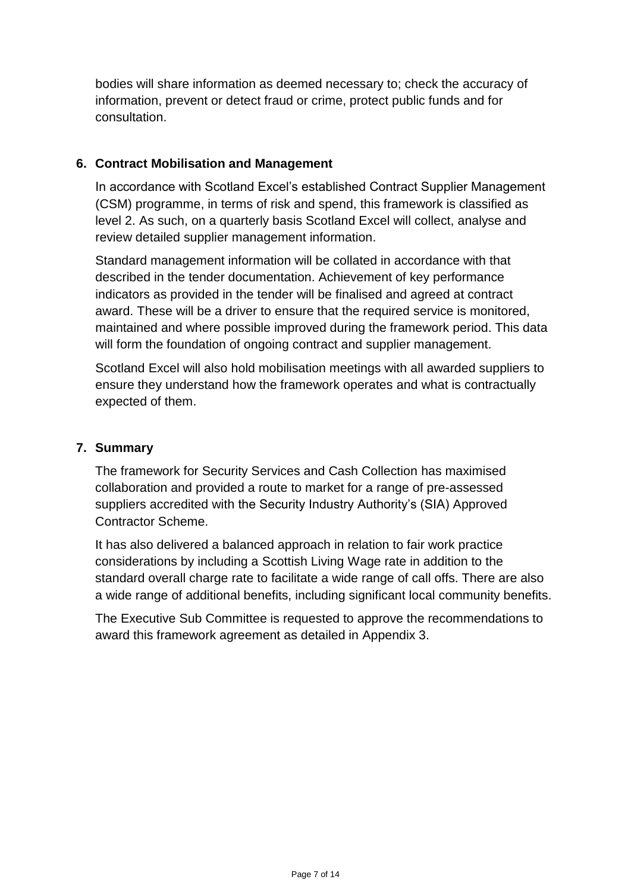bodies will share information as deemed necessary to; check the accuracy of information, prevent or detect fraud or crime, protect public funds and for consultation.

### **6. Contract Mobilisation and Management**

In accordance with Scotland Excel's established Contract Supplier Management (CSM) programme, in terms of risk and spend, this framework is classified as level 2. As such, on a quarterly basis Scotland Excel will collect, analyse and review detailed supplier management information.

Standard management information will be collated in accordance with that described in the tender documentation. Achievement of key performance indicators as provided in the tender will be finalised and agreed at contract award. These will be a driver to ensure that the required service is monitored, maintained and where possible improved during the framework period. This data will form the foundation of ongoing contract and supplier management.

Scotland Excel will also hold mobilisation meetings with all awarded suppliers to ensure they understand how the framework operates and what is contractually expected of them.

#### **7. Summary**

The framework for Security Services and Cash Collection has maximised collaboration and provided a route to market for a range of pre-assessed suppliers accredited with the Security Industry Authority's (SIA) Approved Contractor Scheme.

It has also delivered a balanced approach in relation to fair work practice considerations by including a Scottish Living Wage rate in addition to the standard overall charge rate to facilitate a wide range of call offs. There are also a wide range of additional benefits, including significant local community benefits.

The Executive Sub Committee is requested to approve the recommendations to award this framework agreement as detailed in Appendix 3.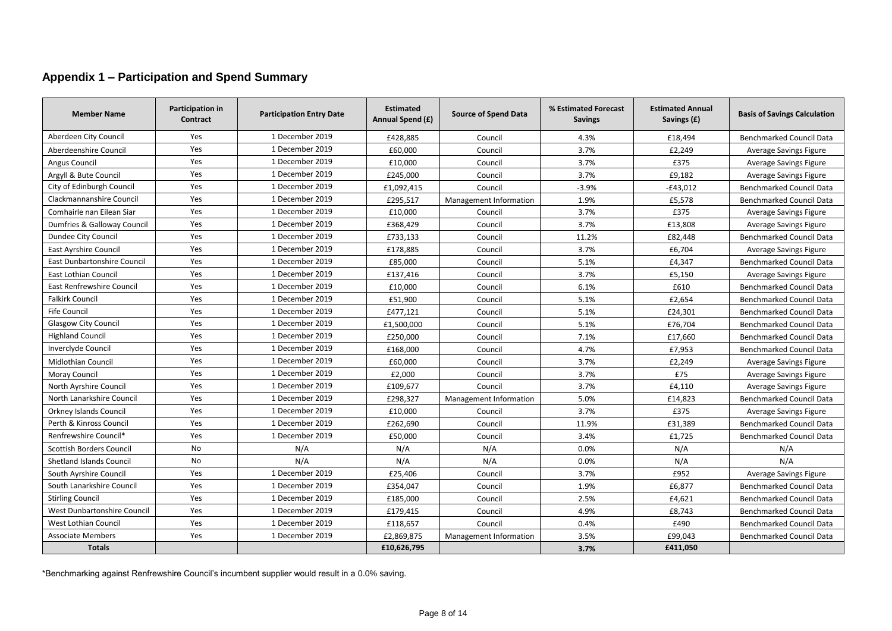## **Appendix 1 – Participation and Spend Summary**

| <b>Member Name</b>              | Participation in<br>Contract | <b>Participation Entry Date</b> | <b>Estimated</b><br>Annual Spend (£) | <b>Source of Spend Data</b> | % Estimated Forecast<br><b>Savings</b> | <b>Estimated Annual</b><br>Savings (£) | <b>Basis of Savings Calculation</b> |
|---------------------------------|------------------------------|---------------------------------|--------------------------------------|-----------------------------|----------------------------------------|----------------------------------------|-------------------------------------|
| Aberdeen City Council           | Yes                          | 1 December 2019                 | £428,885                             | Council                     | 4.3%                                   | £18,494                                | <b>Benchmarked Council Data</b>     |
| Aberdeenshire Council           | Yes                          | 1 December 2019                 | £60,000                              | Council                     | 3.7%                                   | £2,249                                 | Average Savings Figure              |
| Angus Council                   | Yes                          | 1 December 2019                 | £10,000                              | Council                     | 3.7%                                   | £375                                   | Average Savings Figure              |
| Argyll & Bute Council           | Yes                          | 1 December 2019                 | £245,000                             | Council                     | 3.7%                                   | £9,182                                 | Average Savings Figure              |
| City of Edinburgh Council       | Yes                          | 1 December 2019                 | £1,092,415                           | Council                     | $-3.9%$                                | $-£43,012$                             | <b>Benchmarked Council Data</b>     |
| Clackmannanshire Council        | Yes                          | 1 December 2019                 | £295,517                             | Management Information      | 1.9%                                   | £5,578                                 | <b>Benchmarked Council Data</b>     |
| Comhairle nan Eilean Siar       | Yes                          | 1 December 2019                 | £10,000                              | Council                     | 3.7%                                   | £375                                   | Average Savings Figure              |
| Dumfries & Galloway Council     | Yes                          | 1 December 2019                 | £368,429                             | Council                     | 3.7%                                   | £13,808                                | Average Savings Figure              |
| Dundee City Council             | Yes                          | 1 December 2019                 | £733,133                             | Council                     | 11.2%                                  | £82,448                                | Benchmarked Council Data            |
| East Ayrshire Council           | Yes                          | 1 December 2019                 | £178,885                             | Council                     | 3.7%                                   | £6,704                                 | Average Savings Figure              |
| East Dunbartonshire Council     | Yes                          | 1 December 2019                 | £85,000                              | Council                     | 5.1%                                   | £4,347                                 | Benchmarked Council Data            |
| <b>East Lothian Council</b>     | Yes                          | 1 December 2019                 | £137,416                             | Council                     | 3.7%                                   | £5,150                                 | Average Savings Figure              |
| East Renfrewshire Council       | Yes                          | 1 December 2019                 | £10.000                              | Council                     | 6.1%                                   | £610                                   | Benchmarked Council Data            |
| <b>Falkirk Council</b>          | Yes                          | 1 December 2019                 | £51,900                              | Council                     | 5.1%                                   | £2,654                                 | Benchmarked Council Data            |
| <b>Fife Council</b>             | Yes                          | 1 December 2019                 | £477,121                             | Council                     | 5.1%                                   | £24,301                                | <b>Benchmarked Council Data</b>     |
| <b>Glasgow City Council</b>     | Yes                          | 1 December 2019                 | £1,500,000                           | Council                     | 5.1%                                   | £76,704                                | Benchmarked Council Data            |
| <b>Highland Council</b>         | Yes                          | 1 December 2019                 | £250,000                             | Council                     | 7.1%                                   | £17,660                                | Benchmarked Council Data            |
| Inverclyde Council              | Yes                          | 1 December 2019                 | £168.000                             | Council                     | 4.7%                                   | £7,953                                 | <b>Benchmarked Council Data</b>     |
| <b>Midlothian Council</b>       | Yes                          | 1 December 2019                 | £60,000                              | Council                     | 3.7%                                   | £2,249                                 | Average Savings Figure              |
| <b>Moray Council</b>            | Yes                          | 1 December 2019                 | £2,000                               | Council                     | 3.7%                                   | £75                                    | Average Savings Figure              |
| North Ayrshire Council          | Yes                          | 1 December 2019                 | £109,677                             | Council                     | 3.7%                                   | £4,110                                 | Average Savings Figure              |
| North Lanarkshire Council       | Yes                          | 1 December 2019                 | £298,327                             | Management Information      | 5.0%                                   | £14,823                                | Benchmarked Council Data            |
| <b>Orkney Islands Council</b>   | Yes                          | 1 December 2019                 | £10,000                              | Council                     | 3.7%                                   | £375                                   | Average Savings Figure              |
| Perth & Kinross Council         | Yes                          | 1 December 2019                 | £262,690                             | Council                     | 11.9%                                  | £31,389                                | Benchmarked Council Data            |
| Renfrewshire Council*           | Yes                          | 1 December 2019                 | £50,000                              | Council                     | 3.4%                                   | £1,725                                 | <b>Benchmarked Council Data</b>     |
| <b>Scottish Borders Council</b> | No                           | N/A                             | N/A                                  | N/A                         | 0.0%                                   | N/A                                    | N/A                                 |
| <b>Shetland Islands Council</b> | No                           | N/A                             | N/A                                  | N/A                         | 0.0%                                   | N/A                                    | N/A                                 |
| South Ayrshire Council          | Yes                          | 1 December 2019                 | £25,406                              | Council                     | 3.7%                                   | £952                                   | Average Savings Figure              |
| South Lanarkshire Council       | Yes                          | 1 December 2019                 | £354,047                             | Council                     | 1.9%                                   | £6,877                                 | Benchmarked Council Data            |
| <b>Stirling Council</b>         | Yes                          | 1 December 2019                 | £185,000                             | Council                     | 2.5%                                   | £4,621                                 | Benchmarked Council Data            |
| West Dunbartonshire Council     | Yes                          | 1 December 2019                 | £179,415                             | Council                     | 4.9%                                   | £8,743                                 | Benchmarked Council Data            |
| <b>West Lothian Council</b>     | Yes                          | 1 December 2019                 | £118,657                             | Council                     | 0.4%                                   | £490                                   | <b>Benchmarked Council Data</b>     |
| <b>Associate Members</b>        | Yes                          | 1 December 2019                 | £2,869,875                           | Management Information      | 3.5%                                   | £99,043                                | <b>Benchmarked Council Data</b>     |
| <b>Totals</b>                   |                              |                                 | £10,626,795                          |                             | 3.7%                                   | £411,050                               |                                     |

\*Benchmarking against Renfrewshire Council's incumbent supplier would result in a 0.0% saving.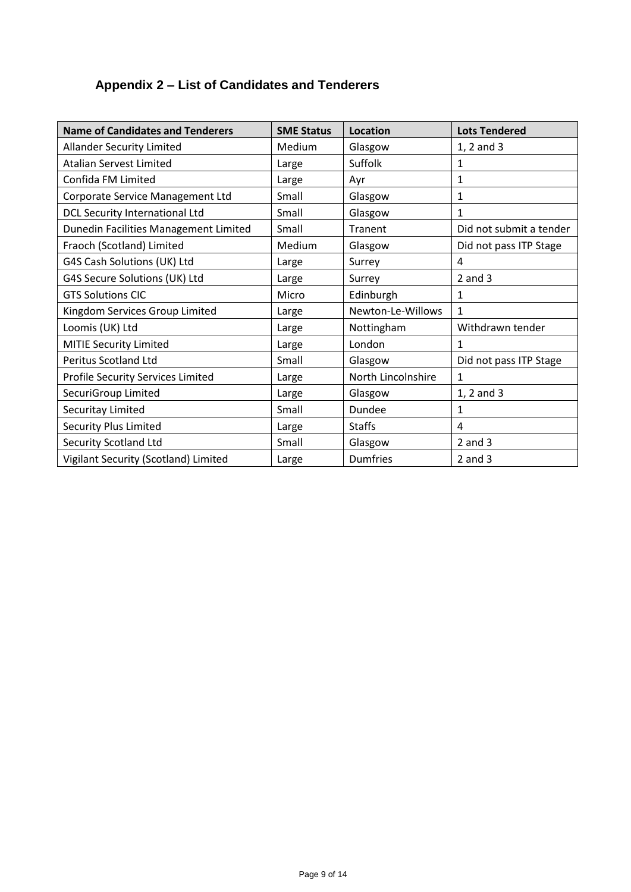# **Appendix 2 – List of Candidates and Tenderers**

| <b>Name of Candidates and Tenderers</b> | <b>SME Status</b> | <b>Location</b>    | <b>Lots Tendered</b>    |
|-----------------------------------------|-------------------|--------------------|-------------------------|
| <b>Allander Security Limited</b>        | Medium            | Glasgow            | 1, 2 and 3              |
| <b>Atalian Servest Limited</b>          | Large             | Suffolk            | 1                       |
| Confida FM Limited                      | Large             | Ayr                | $\mathbf{1}$            |
| Corporate Service Management Ltd        | Small             | Glasgow            | $\mathbf{1}$            |
| <b>DCL Security International Ltd</b>   | Small             | Glasgow            | $\mathbf{1}$            |
| Dunedin Facilities Management Limited   | Small             | Tranent            | Did not submit a tender |
| Fraoch (Scotland) Limited               | Medium            | Glasgow            | Did not pass ITP Stage  |
| G4S Cash Solutions (UK) Ltd             | Large             | Surrey             | 4                       |
| G4S Secure Solutions (UK) Ltd           | Large             | Surrey             | $2$ and $3$             |
| <b>GTS Solutions CIC</b>                | Micro             | Edinburgh          | $\mathbf 1$             |
| Kingdom Services Group Limited          | Large             | Newton-Le-Willows  | $\mathbf{1}$            |
| Loomis (UK) Ltd                         | Large             | Nottingham         | Withdrawn tender        |
| <b>MITIE Security Limited</b>           | Large             | London             | 1                       |
| <b>Peritus Scotland Ltd</b>             | Small             | Glasgow            | Did not pass ITP Stage  |
| Profile Security Services Limited       | Large             | North Lincolnshire | $\mathbf{1}$            |
| SecuriGroup Limited                     | Large             | Glasgow            | 1, 2 and 3              |
| Securitay Limited                       | Small             | Dundee             | $\mathbf{1}$            |
| <b>Security Plus Limited</b>            | Large             | <b>Staffs</b>      | 4                       |
| <b>Security Scotland Ltd</b>            | Small             | Glasgow            | $2$ and $3$             |
| Vigilant Security (Scotland) Limited    | Large             | <b>Dumfries</b>    | $2$ and $3$             |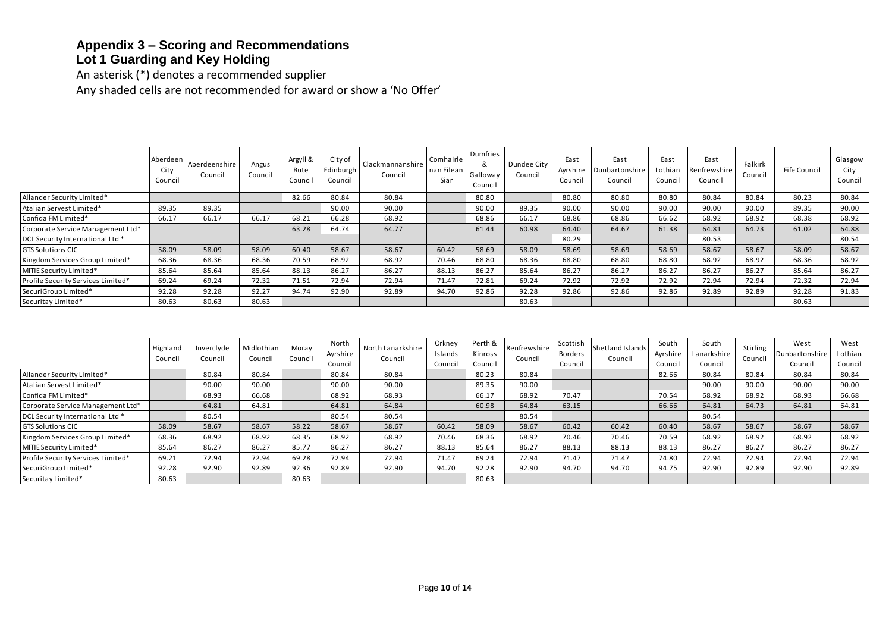#### **Appendix 3 – Scoring and Recommendations Lot 1 Guarding and Key Holding**

An asterisk (\*) denotes a recommended supplier

Any shaded cells are not recommended for award or show a 'No Offer'

|                                    |                             | .                        |                  |                             |                                 |                             |                                 |                                      |                        |                             |                                   |                            |                                 |                    |              |                            |
|------------------------------------|-----------------------------|--------------------------|------------------|-----------------------------|---------------------------------|-----------------------------|---------------------------------|--------------------------------------|------------------------|-----------------------------|-----------------------------------|----------------------------|---------------------------------|--------------------|--------------|----------------------------|
|                                    |                             |                          |                  |                             |                                 |                             |                                 |                                      |                        |                             |                                   |                            |                                 |                    |              |                            |
|                                    |                             |                          |                  |                             |                                 |                             |                                 |                                      |                        |                             |                                   |                            |                                 |                    |              |                            |
|                                    |                             |                          |                  |                             |                                 |                             |                                 |                                      |                        |                             |                                   |                            |                                 |                    |              |                            |
|                                    |                             |                          |                  |                             |                                 |                             |                                 |                                      |                        |                             |                                   |                            |                                 |                    |              |                            |
|                                    | Aberdeen<br>City<br>Council | Aberdeenshire<br>Council | Angus<br>Council | Argyll &<br>Bute<br>Council | City of<br>Edinburgh<br>Council | Clackmannanshire<br>Council | Comhairle<br>nan Eilean<br>Siar | Dumfries<br>&<br>Galloway<br>Council | Dundee City<br>Council | East<br>Ayrshire<br>Council | East<br>Dunbartonshire<br>Council | East<br>Lothian<br>Council | East<br>Renfrewshire<br>Council | Falkirk<br>Council | Fife Council | Glasgow<br>City<br>Council |
| Allander Security Limited*         |                             |                          |                  | 82.66                       | 80.84                           | 80.84                       |                                 | 80.80                                |                        | 80.80                       | 80.80                             | 80.80                      | 80.84                           | 80.84              | 80.23        | 80.84                      |
| Atalian Servest Limited*           | 89.35                       | 89.35                    |                  |                             | 90.00                           | 90.00                       |                                 | 90.00                                | 89.35                  | 90.00                       | 90.00                             | 90.00                      | 90.00                           | 90.00              | 89.35        | 90.00                      |
| Confida FM Limited*                | 66.17                       | 66.17                    | 66.17            | 68.21                       | 66.28                           | 68.92                       |                                 | 68.86                                | 66.17                  | 68.86                       | 68.86                             | 66.62                      | 68.92                           | 68.92              | 68.38        | 68.92                      |
| Corporate Service Management Ltd*  |                             |                          |                  | 63.28                       | 64.74                           | 64.77                       |                                 | 61.44                                | 60.98                  | 64.40                       | 64.67                             | 61.38                      | 64.81                           | 64.73              | 61.02        | 64.88                      |
| DCL Security International Ltd *   |                             |                          |                  |                             |                                 |                             |                                 |                                      |                        | 80.29                       |                                   |                            | 80.53                           |                    |              | 80.54                      |
| <b>GTS Solutions CIC</b>           | 58.09                       | 58.09                    | 58.09            | 60.40                       | 58.67                           | 58.67                       | 60.42                           | 58.69                                | 58.09                  | 58.69                       | 58.69                             | 58.69                      | 58.67                           | 58.67              | 58.09        | 58.67                      |
| Kingdom Services Group Limited*    | 68.36                       | 68.36                    | 68.36            | 70.59                       | 68.92                           | 68.92                       | 70.46                           | 68.80                                | 68.36                  | 68.80                       | 68.80                             | 68.80                      | 68.92                           | 68.92              | 68.36        | 68.92                      |
| MITIE Security Limited*            | 85.64                       | 85.64                    | 85.64            | 88.13                       | 86.27                           | 86.27                       | 88.13                           | 86.27                                | 85.64                  | 86.27                       | 86.27                             | 86.27                      | 86.27                           | 86.27              | 85.64        | 86.27                      |
| Profile Security Services Limited* | 69.24                       | 69.24                    | 72.32            | 71.51                       | 72.94                           | 72.94                       | 71.47                           | 72.81                                | 69.24                  | 72.92                       | 72.92                             | 72.92                      | 72.94                           | 72.94              | 72.32        | 72.94                      |
| SecuriGroup Limited*               | 92.28                       | 92.28                    | 92.27            | 94.74                       | 92.90                           | 92.89                       | 94.70                           | 92.86                                | 92.28                  | 92.86                       | 92.86                             | 92.86                      | 92.89                           | 92.89              | 92.28        | 91.83                      |
| Securitay Limited*                 | 80.63                       | 80.63                    | 80.63            |                             |                                 |                             |                                 |                                      | 80.63                  |                             |                                   |                            |                                 |                    | 80.63        |                            |

|                                    | Highland<br>Council | Inverclyde<br>Council | Midlothian<br>Council | Moray<br>Council | North<br>Ayrshire<br>Council | North Lanarkshire<br>Council | Orkney<br>Islands<br>Council | Perth &<br>Kinross<br>Council | Renfrewshire<br>Council | Scottish<br>Borders<br>Council | Shetland Islands<br>Council | South<br>Ayrshire<br>Counci | South<br>Lanarkshire<br>Council | Stirling<br>Council | West<br>Dunbartonshire<br>Council | West<br>Lothian<br>Council |
|------------------------------------|---------------------|-----------------------|-----------------------|------------------|------------------------------|------------------------------|------------------------------|-------------------------------|-------------------------|--------------------------------|-----------------------------|-----------------------------|---------------------------------|---------------------|-----------------------------------|----------------------------|
| Allander Security Limited*         |                     | 80.84                 | 80.84                 |                  | 80.84                        | 80.84                        |                              | 80.23                         | 80.84                   |                                |                             | 82.66                       | 80.84                           | 80.84               | 80.84                             | 80.84                      |
| Atalian Servest Limited*           |                     | 90.00                 | 90.00                 |                  | 90.00                        | 90.00                        |                              | 89.35                         | 90.00                   |                                |                             |                             | 90.00                           | 90.00               | 90.00                             | 90.00                      |
| Confida FM Limited*                |                     | 68.93                 | 66.68                 |                  | 68.92                        | 68.93                        |                              | 66.17                         | 68.92                   | 70.47                          |                             | 70.54                       | 68.92                           | 68.92               | 68.93                             | 66.68                      |
| Corporate Service Management Ltd*  |                     | 64.81                 | 64.81                 |                  | 64.81                        | 64.84                        |                              | 60.98                         | 64.84                   | 63.15                          |                             | 66.66                       | 64.81                           | 64.73               | 64.81                             | 64.81                      |
| DCL Security International Ltd *   |                     | 80.54                 |                       |                  | 80.54                        | 80.54                        |                              |                               | 80.54                   |                                |                             |                             | 80.54                           |                     |                                   |                            |
| <b>GTS Solutions CIC</b>           | 58.09               | 58.67                 | 58.67                 | 58.22            | 58.67                        | 58.67                        | 60.42                        | 58.09                         | 58.67                   | 60.42                          | 60.42                       | 60.40                       | 58.67                           | 58.67               | 58.67                             | 58.67                      |
| Kingdom Services Group Limited*    | 68.36               | 68.92                 | 68.92                 | 68.35            | 68.92                        | 68.92                        | 70.46                        | 68.36                         | 68.92                   | 70.46                          | 70.46                       | 70.59                       | 68.92                           | 68.92               | 68.92                             | 68.92                      |
| MITIE Security Limited*            | 85.64               | 86.27                 | 86.27                 | 85.77            | 86.27                        | 86.27                        | 88.13                        | 85.64                         | 86.27                   | 88.13                          | 88.13                       | 88.13                       | 86.27                           | 86.27               | 86.27                             | 86.27                      |
| Profile Security Services Limited* | 69.21               | 72.94                 | 72.94                 | 69.28            | 72.94                        | 72.94                        | 71.47                        | 69.24                         | 72.94                   | 71.47                          | 71.47                       | 74.80                       | 72.94                           | 72.94               | 72.94                             | 72.94                      |
| SecuriGroup Limited*               | 92.28               | 92.90                 | 92.89                 | 92.36            | 92.89                        | 92.90                        | 94.70                        | 92.28                         | 92.90                   | 94.70                          | 94.70                       | 94.75                       | 92.90                           | 92.89               | 92.90                             | 92.89                      |
| Securitay Limited*                 | 80.63               |                       |                       | 80.63            |                              |                              |                              | 80.63                         |                         |                                |                             |                             |                                 |                     |                                   |                            |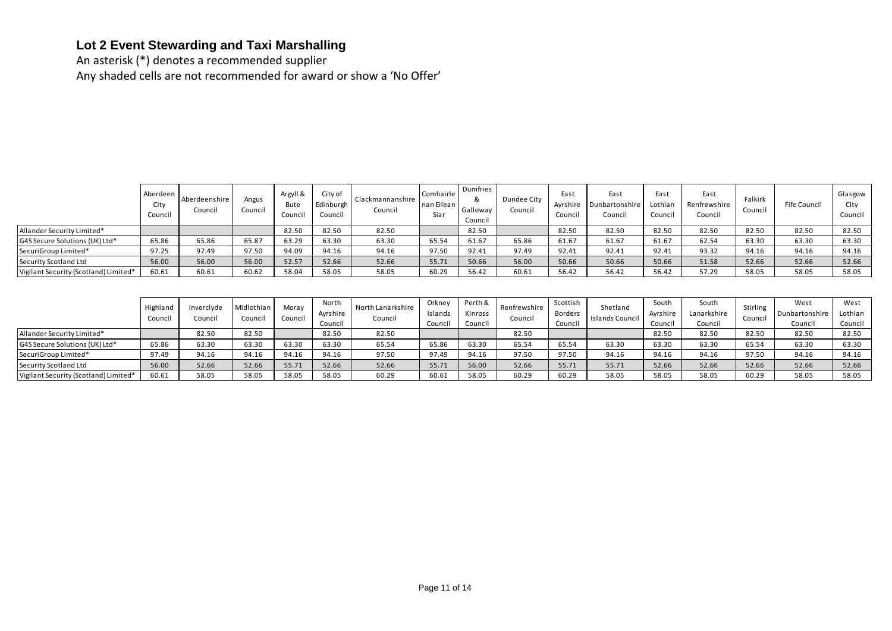## **Lot 2 Event Stewarding and Taxi Marshalling**

An asterisk (\*) denotes a recommended supplier Any shaded cells are not recommended for award or show a 'No Offer'

|                                       | Aberdeen<br>City<br>Council | Aberdeenshire<br>Council | Angus<br>Council | Argyll &<br>Bute<br>Council | City of<br>Edinburgh<br>Council | Clackmannanshire<br>Council | Comhairle<br>nan Eilean<br>Siar | Dumfries<br>&<br>Galloway<br>Council | Dundee City<br>Council | East<br>Ayrshire<br>Council | East<br><b>Dunbartonshire</b><br>Council | East<br>Lothian<br>Council | East<br>Renfrewshire<br>Council | Falkirk<br>Council | Fife Council | Glasgow<br>City<br>Council |
|---------------------------------------|-----------------------------|--------------------------|------------------|-----------------------------|---------------------------------|-----------------------------|---------------------------------|--------------------------------------|------------------------|-----------------------------|------------------------------------------|----------------------------|---------------------------------|--------------------|--------------|----------------------------|
| Allander Security Limited*            |                             |                          |                  | 82.50                       | 82.50                           | 82.50                       |                                 | 82.50                                |                        | 82.50                       | 82.50                                    | 82.50                      | 82.50                           | 82.50              | 82.50        | 82.50                      |
| G4S Secure Solutions (UK) Ltd*        | 65.86                       | 65.86                    | 65.87            | 63.29                       | 63.30                           | 63.30                       | 65.54                           | 61.67                                | 65.86                  | 61.67                       | 61.67                                    | 61.67                      | 62.54                           | 63.30              | 63.30        | 63.30                      |
| SecuriGroup Limited*                  | 97.25                       | 97.49                    | 97.50            | 94.09                       | 94.16                           | 94.16                       | 97.50                           | 92.41                                | 97.49                  | 92.41                       | 92.41                                    | 92.41                      | 93.32                           | 94.16              | 94.16        | 94.16                      |
| Security Scotland Ltd                 | 56.00                       | 56.00                    | 56.00            | 52.57                       | 52.66                           | 52.66                       | 55.71                           | 50.66                                | 56.00                  | 50.66                       | 50.66                                    | 50.66                      | 51.58                           | 52.66              | 52.66        | 52.66                      |
| Vigilant Security (Scotland) Limited* | 60.61                       | 60.61                    | 60.62            | 58.04                       | 58.05                           | 58.05                       | 60.29                           | 56.42                                | 60.61                  | 56.42                       | 56.42                                    | 56.42                      | 57.29                           | 58.05              | 58.05        | 58.05                      |

|                                       | Highland<br>Council | Inverclyde<br>Council | Midlothian<br>Council | Moray<br>Council | North<br>Ayrshire<br>Council | North Lanarkshire<br>Council | Orkney<br>Islands<br>Council | Perth & I<br>Kinross<br>Council | Renfrewshire<br>Council | Scottish<br>Borders<br>Council | Shetland<br>Islands Council | South<br>Ayrshire<br>Council | South<br>Lanarkshire<br>Council | <b>Stirling</b><br>Council | West<br>Dunbartonshire<br>Council | West<br>Lothian<br>Council |
|---------------------------------------|---------------------|-----------------------|-----------------------|------------------|------------------------------|------------------------------|------------------------------|---------------------------------|-------------------------|--------------------------------|-----------------------------|------------------------------|---------------------------------|----------------------------|-----------------------------------|----------------------------|
| Allander Security Limited*            |                     | 82.50                 | 82.50                 |                  | 82.50                        | 82.50                        |                              |                                 | 82.50                   |                                |                             | 82.50                        | 82.50                           | 82.50                      | 82.50                             | 82.50                      |
| G4S Secure Solutions (UK) Ltd*        | 65.86               | 63.30                 | 63.30                 | 63.30            | 63.30                        | 65.54                        | 65.86                        | 63.30                           | 65.54                   | 65.54                          | 63.30                       | 63.30                        | 63.30                           | 65.54                      | 63.30                             | 63.30                      |
| SecuriGroup Limited*                  | 97.49               | 94.16                 | 94.16                 | 94.16            | 94.16                        | 97.50                        | 97.49                        | 94.16                           | 97.50                   | 97.50                          | 94.16                       | 94.16                        | 94.16                           | 97.50                      | 94.16                             | 94.16                      |
| Security Scotland Ltd                 | 56.00               | 52.66                 | 52.66                 | 55.71            | 52.66                        | 52.66                        | 55.71                        | 56.00                           | 52.66                   | 55.71                          | 55.71                       | 52.66                        | 52.66                           | 52.66                      | 52.66                             | 52.66                      |
| Vigilant Security (Scotland) Limited* | 60.61               | 58.05                 | 58.05                 | 58.05            | 58.05                        | 60.29                        | 60.61                        | 58.05                           | 60.29                   | 60.29                          | 58.05                       | 58.05                        | 58.05                           | 60.29                      | 58.05                             | 58.05                      |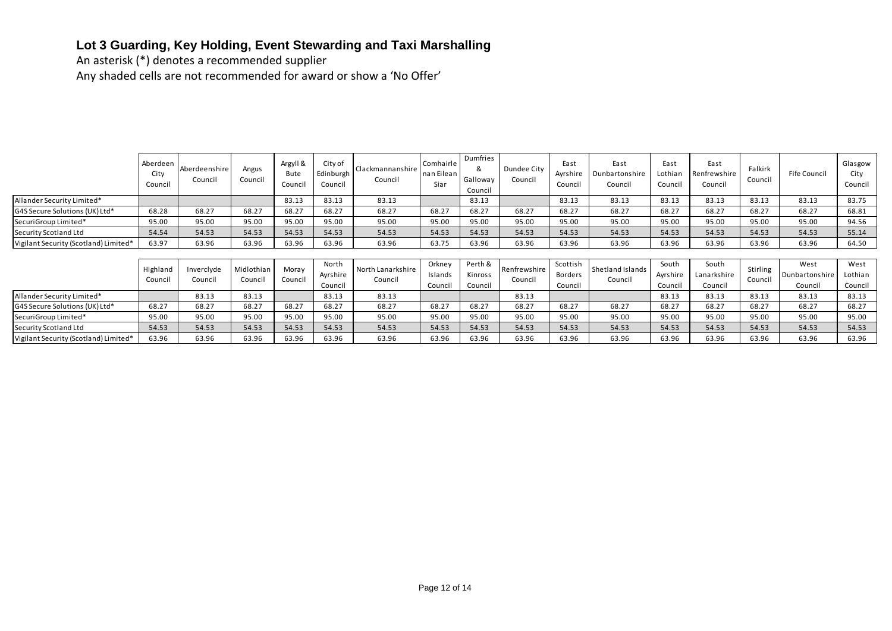# **Lot 3 Guarding, Key Holding, Event Stewarding and Taxi Marshalling**

An asterisk (\*) denotes a recommended supplier

Any shaded cells are not recommended for award or show a 'No Offer'

|                                       | Aberdeen<br>City<br>Council | Aberdeenshire<br>Council | Angus<br>Council      | Argyll &<br>Bute<br>Council | City of<br>Edinburgh<br>Council | Clackmannanshire<br>Council  | Comhairle<br>nan Eilean<br>Siar | Dumfries<br>&<br>Galloway<br>Council | Dundee City<br>Council  | East<br>Ayrshire<br>Council | East<br>Dunbartonshire<br>Council | East<br>Lothian<br>Counci | East<br>Renfrewshire<br>Council | Falkirk<br>Council  | Fife Council           | Glasgow<br>City<br>Council |
|---------------------------------------|-----------------------------|--------------------------|-----------------------|-----------------------------|---------------------------------|------------------------------|---------------------------------|--------------------------------------|-------------------------|-----------------------------|-----------------------------------|---------------------------|---------------------------------|---------------------|------------------------|----------------------------|
| Allander Security Limited*            |                             |                          |                       | 83.13                       | 83.13                           | 83.13                        |                                 | 83.13                                |                         | 83.13                       | 83.13                             | 83.13                     | 83.13                           | 83.13               | 83.13                  | 83.75                      |
| G4S Secure Solutions (UK) Ltd*        | 68.28                       | 68.27                    | 68.27                 | 68.27                       | 68.27                           | 68.27                        | 68.27                           | 68.27                                | 68.27                   | 68.27                       | 68.27                             | 68.27                     | 68.27                           | 68.27               | 68.27                  | 68.81                      |
| SecuriGroup Limited*                  | 95.00                       | 95.00                    | 95.00                 | 95.00                       | 95.00                           | 95.00                        | 95.00                           | 95.00                                | 95.00                   | 95.00                       | 95.00                             | 95.00                     | 95.00                           | 95.00               | 95.00                  | 94.56                      |
| Security Scotland Ltd                 | 54.54                       | 54.53                    | 54.53                 | 54.53                       | 54.53                           | 54.53                        | 54.53                           | 54.53                                | 54.53                   | 54.53                       | 54.53                             | 54.53                     | 54.53                           | 54.53               | 54.53                  | 55.14                      |
| Vigilant Security (Scotland) Limited* | 63.97                       | 63.96                    | 63.96                 | 63.96                       | 63.96                           | 63.96                        | 63.75                           | 63.96                                | 63.96                   | 63.96                       | 63.96                             | 63.96                     | 63.96                           | 63.96               | 63.96                  | 64.50                      |
|                                       |                             |                          |                       |                             |                                 |                              |                                 |                                      |                         |                             |                                   |                           |                                 |                     |                        |                            |
|                                       | Highland<br>Council         | Inverclyde<br>Council    | Midlothian<br>Council | Moray<br>Council            | North<br>Ayrshire               | North Lanarkshire<br>Council | Orkney<br>Islands               | Perth &<br>Kinross                   | Renfrewshire<br>Council | Scottish<br>Borders         | Shetland Islands<br>Council       | South<br>Ayrshire         | South<br>Lanarkshire            | Stirling<br>Council | West<br>Dunbartonshire | West<br>Lothian            |
|                                       |                             |                          |                       |                             | Council                         |                              | Council                         | Council                              |                         | Council                     |                                   | Counci                    | Council                         |                     | Council                | Council                    |
| Allander Security Limited*            |                             | 83.13                    | 83.13                 |                             | 83.13                           | 83.13                        |                                 |                                      | 83.13                   |                             |                                   | 83.13                     | 83.13                           | 83.13               | 83.13                  | 83.13                      |
| G4S Secure Solutions (UK) Ltd*        | 68.27                       | 68.27                    | 68.27                 | 68.27                       | 68.27                           | 68.27                        | 68.27                           | 68.27                                | 68.27                   | 68.27                       | 68.27                             | 68.27                     | 68.27                           | 68.27               | 68.27                  | 68.27                      |
| SecuriGroup Limited*                  | 95.00                       | 95.00                    | 95.00                 | 95.00                       | 95.00                           | 95.00                        | 95.00                           | 95.00                                | 95.00                   | 95.00                       | 95.00                             | 95.00                     | 95.00                           | 95.00               | 95.00                  | 95.00                      |
| Security Scotland Ltd                 | 54.53                       | 54.53                    | 54.53                 | 54.53                       | 54.53                           | 54.53                        | 54.53                           | 54.53                                | 54.53                   | 54.53                       | 54.53                             | 54.53                     | 54.53                           | 54.53               | 54.53                  | 54.53                      |
| Vigilant Security (Scotland) Limited* | 63.96                       | 63.96                    | 63.96                 | 63.96                       | 63.96                           | 63.96                        | 63.96                           | 63.96                                | 63.96                   | 63.96                       | 63.96                             | 63.96                     | 63.96                           | 63.96               | 63.96                  | 63.96                      |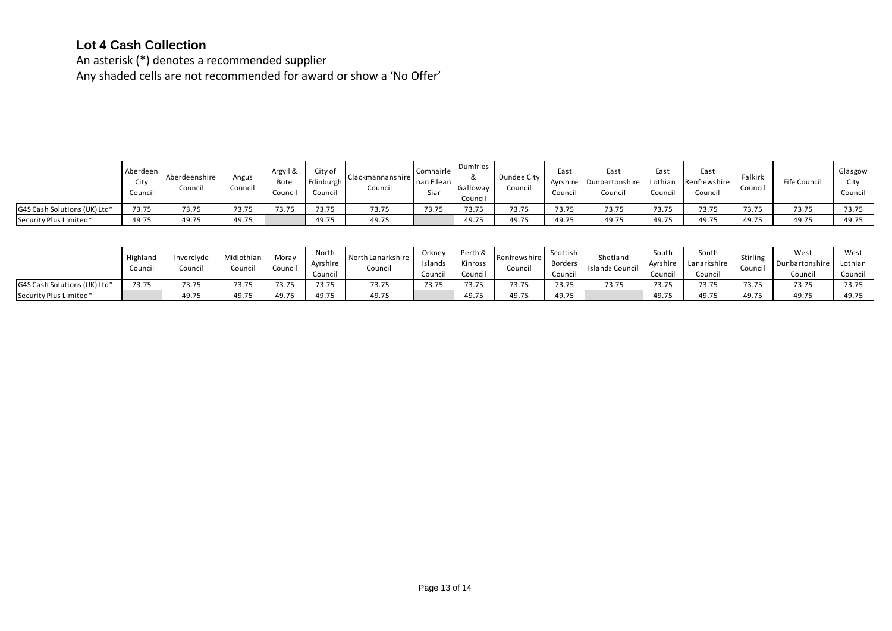## **Lot 4 Cash Collection**

An asterisk (\*) denotes a recommended supplier Any shaded cells are not recommended for award or show a 'No Offer'

|                              | Aberdeen<br>City<br>Council | Aberdeenshire<br>Council | Angus<br>Council | Argyll &<br>Bute<br>Council | City of<br>Edinburgh<br>Council | Clackmannanshire<br>Council | Comhairle<br>nan Eilean<br>Siar | Dumfries<br>&<br>Galloway<br>Council | Dundee City<br>Council | East<br>Ayrshire<br>Council | East<br>Dunbartonshire<br>Council | East<br>Lothian<br>Council | East<br>Renfrewshire<br>Council | Falkirk<br>Council | Fife Council | Glasgow<br>City<br>Council |
|------------------------------|-----------------------------|--------------------------|------------------|-----------------------------|---------------------------------|-----------------------------|---------------------------------|--------------------------------------|------------------------|-----------------------------|-----------------------------------|----------------------------|---------------------------------|--------------------|--------------|----------------------------|
| G4S Cash Solutions (UK) Ltd* | 73.75                       | 73.75                    | 73.75            | 73.75                       | 73.75                           | 73.75                       | 73.75                           | 73.75                                | 73.75                  | 73.75                       | 73.75                             | 73.75                      | 73.75                           | 73.75              | 73.75        | 73.75                      |
| Security Plus Limited*       | 49.75                       | 49.75                    | 49.75            |                             | 49.75                           | 49.75                       |                                 | 49.75                                | 49.75                  | 49.75                       | 49.75                             | 49.75                      | 49.75                           | 49.75              | 49.75        | 49.75                      |

|                              | Highland<br>Council | Inverclyde<br>Council | Midlothian<br>Council | Moray<br>Council | North<br>Ayrshire<br>Counci          | North Lanarkshire<br>Council | Orknev<br>Islands<br>Council | Perth &<br>Kinross<br>Counci | l Rentrewshire<br>Council | Scottish<br>Borders<br>Council | Shetland<br>Islands Council | South<br>Avrshire<br>Council | South<br>Lanarkshire<br>Council | Stirling<br>Council | West<br>Dunbartonshire<br>Council | West<br>Lothian<br>Council |
|------------------------------|---------------------|-----------------------|-----------------------|------------------|--------------------------------------|------------------------------|------------------------------|------------------------------|---------------------------|--------------------------------|-----------------------------|------------------------------|---------------------------------|---------------------|-----------------------------------|----------------------------|
| G4S Cash Solutions (UK) Ltd* | 73.75               | 73.75                 | 73.75                 | 73.75            | 73.75                                | 73.75                        | 73.75                        | 73 75<br>ر ب                 | 73.75                     | 73.75                          | 73.75                       | 73.75                        | 73.75                           | 73.75               | 72.75                             | 72.75<br>, ., ., .,        |
| Security Plus Limited*       |                     | 49.75                 | 49.75                 | 49.75            | $\sim$ $\sim$ $\sim$ $\sim$<br>49.75 | 49.75                        |                              | 49.75                        | 49.75                     | 49.75                          |                             | 49.75                        | 49.75                           | 49.75               | 49.75                             | 49.75                      |